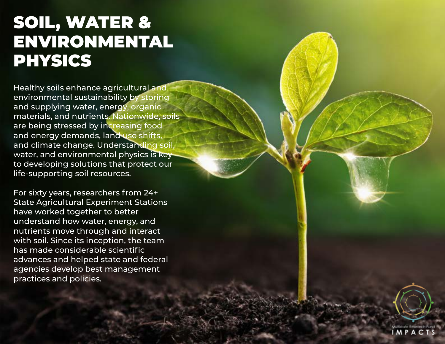## SOIL, WATER & ENVIRONMENTAL PHYSICS

Healthy soils enhance agricultural and environmental sustainability by storing and supplying water, energy, organic materials, and nutrients. Nationwide, soils are being stressed by increasing food and energy demands, land use shifts, and climate change. Understanding soil, water, and environmental physics is key to developing solutions that protect our life-supporting soil resources.

For sixty years, researchers from 24+ State Agricultural Experiment Stations have worked together to better understand how water, energy, and nutrients move through and interact with soil. Since its inception, the team has made considerable scientific advances and helped state and federal agencies develop best management practices and policies.